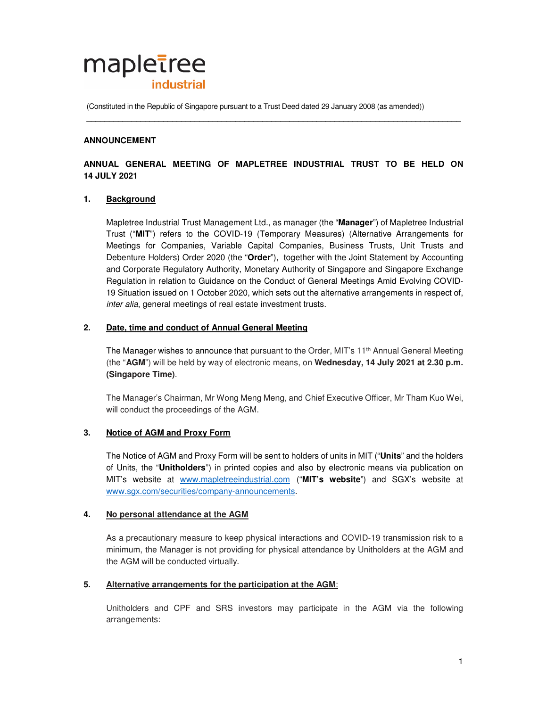# mapletree **industrial**

(Constituted in the Republic of Singapore pursuant to a Trust Deed dated 29 January 2008 (as amended))

## **ANNOUNCEMENT**

# **ANNUAL GENERAL MEETING OF MAPLETREE INDUSTRIAL TRUST TO BE HELD ON 14 JULY 2021**

\_\_\_\_\_\_\_\_\_\_\_\_\_\_\_\_\_\_\_\_\_\_\_\_\_\_\_\_\_\_\_\_\_\_\_\_\_\_\_\_\_\_\_\_\_\_\_\_\_\_\_\_\_\_\_\_\_\_\_\_\_\_\_\_\_\_\_\_\_\_\_\_\_\_\_\_\_\_\_\_\_\_\_

# **1. Background**

Mapletree Industrial Trust Management Ltd., as manager (the "**Manager**") of Mapletree Industrial Trust ("**MIT**") refers to the COVID-19 (Temporary Measures) (Alternative Arrangements for Meetings for Companies, Variable Capital Companies, Business Trusts, Unit Trusts and Debenture Holders) Order 2020 (the "**Order**"), together with the Joint Statement by Accounting and Corporate Regulatory Authority, Monetary Authority of Singapore and Singapore Exchange Regulation in relation to Guidance on the Conduct of General Meetings Amid Evolving COVID-19 Situation issued on 1 October 2020, which sets out the alternative arrangements in respect of, inter alia, general meetings of real estate investment trusts.

## **2. Date, time and conduct of Annual General Meeting**

The Manager wishes to announce that pursuant to the Order, MIT's 11<sup>th</sup> Annual General Meeting (the "**AGM**") will be held by way of electronic means, on **Wednesday, 14 July 2021 at 2.30 p.m. (Singapore Time)**.

 The Manager's Chairman, Mr Wong Meng Meng, and Chief Executive Officer, Mr Tham Kuo Wei, will conduct the proceedings of the AGM.

## **3. Notice of AGM and Proxy Form**

The Notice of AGM and Proxy Form will be sent to holders of units in MIT ("**Units**" and the holders of Units, the "**Unitholders**") in printed copies and also by electronic means via publication on MIT's website at www.mapletreeindustrial.com ("**MIT's website**") and SGX's website at www.sgx.com/securities/company-announcements.

## **4. No personal attendance at the AGM**

As a precautionary measure to keep physical interactions and COVID-19 transmission risk to a minimum, the Manager is not providing for physical attendance by Unitholders at the AGM and the AGM will be conducted virtually.

## **5. Alternative arrangements for the participation at the AGM**:

Unitholders and CPF and SRS investors may participate in the AGM via the following arrangements: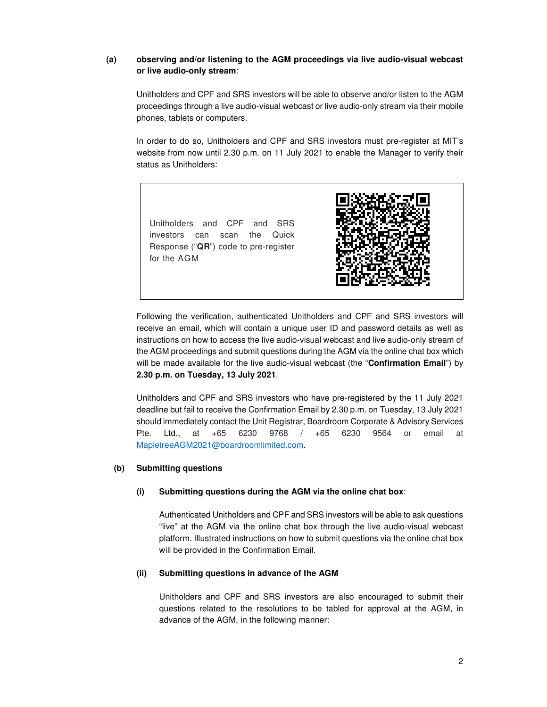# **(a) observing and/or listening to the AGM proceedings via live audio-visual webcast or live audio-only stream**:

Unitholders and CPF and SRS investors will be able to observe and/or listen to the AGM proceedings through a live audio-visual webcast or live audio-only stream via their mobile phones, tablets or computers.

In order to do so, Unitholders and CPF and SRS investors must pre-register at MIT's website from now until 2.30 p.m. on 11 July 2021 to enable the Manager to verify their status as Unitholders:

Unitholders and CPF and SRS investors can scan the Quick Response ("**QR**") code to pre-register for the AGM



Following the verification, authenticated Unitholders and CPF and SRS investors will receive an email, which will contain a unique user ID and password details as well as instructions on how to access the live audio-visual webcast and live audio-only stream of the AGM proceedings and submit questions during the AGM via the online chat box which will be made available for the live audio-visual webcast (the "**Confirmation Email**") by **2.30 p.m. on Tuesday, 13 July 2021**.

Unitholders and CPF and SRS investors who have pre-registered by the 11 July 2021 deadline but fail to receive the Confirmation Email by 2.30 p.m. on Tuesday, 13 July 2021 should immediately contact the Unit Registrar, Boardroom Corporate & Advisory Services Pte. Ltd., at +65 6230 9768 / +65 6230 9564 or email at MapletreeAGM2021@boardroomlimited.com.

## **(b) Submitting questions**

#### **(i) Submitting questions during the AGM via the online chat box**:

Authenticated Unitholders and CPF and SRS investors will be able to ask questions "live" at the AGM via the online chat box through the live audio-visual webcast platform. Illustrated instructions on how to submit questions via the online chat box will be provided in the Confirmation Email.

#### **(ii) Submitting questions in advance of the AGM**

Unitholders and CPF and SRS investors are also encouraged to submit their questions related to the resolutions to be tabled for approval at the AGM, in advance of the AGM, in the following manner: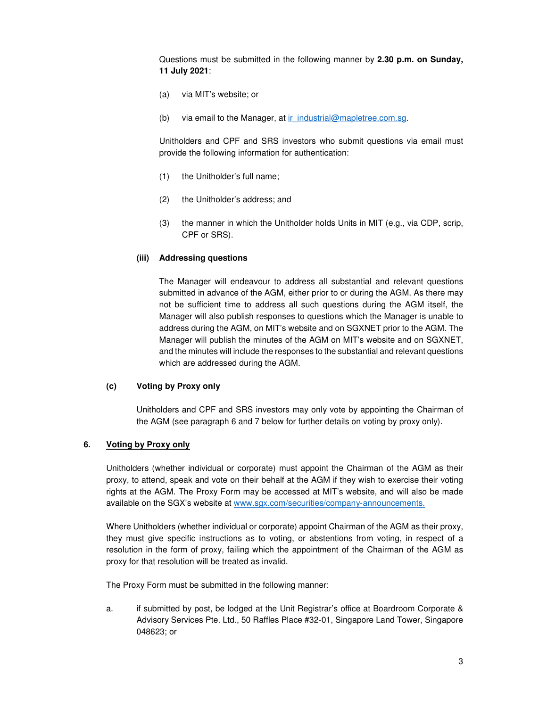Questions must be submitted in the following manner by **2.30 p.m. on Sunday, 11 July 2021**:

- (a) via MIT's website; or
- (b) via email to the Manager, at  $ir$  industrial@mapletree.com.sg.

Unitholders and CPF and SRS investors who submit questions via email must provide the following information for authentication:

- (1) the Unitholder's full name;
- (2) the Unitholder's address; and
- (3) the manner in which the Unitholder holds Units in MIT (e.g., via CDP, scrip, CPF or SRS).

#### **(iii) Addressing questions**

The Manager will endeavour to address all substantial and relevant questions submitted in advance of the AGM, either prior to or during the AGM. As there may not be sufficient time to address all such questions during the AGM itself, the Manager will also publish responses to questions which the Manager is unable to address during the AGM, on MIT's website and on SGXNET prior to the AGM. The Manager will publish the minutes of the AGM on MIT's website and on SGXNET, and the minutes will include the responses to the substantial and relevant questions which are addressed during the AGM.

#### **(c) Voting by Proxy only**

Unitholders and CPF and SRS investors may only vote by appointing the Chairman of the AGM (see paragraph 6 and 7 below for further details on voting by proxy only).

#### **6. Voting by Proxy only**

Unitholders (whether individual or corporate) must appoint the Chairman of the AGM as their proxy, to attend, speak and vote on their behalf at the AGM if they wish to exercise their voting rights at the AGM. The Proxy Form may be accessed at MIT's website, and will also be made available on the SGX's website at www.sgx.com/securities/company-announcements.

Where Unitholders (whether individual or corporate) appoint Chairman of the AGM as their proxy, they must give specific instructions as to voting, or abstentions from voting, in respect of a resolution in the form of proxy, failing which the appointment of the Chairman of the AGM as proxy for that resolution will be treated as invalid.

The Proxy Form must be submitted in the following manner:

a. if submitted by post, be lodged at the Unit Registrar's office at Boardroom Corporate & Advisory Services Pte. Ltd., 50 Raffles Place #32-01, Singapore Land Tower, Singapore 048623; or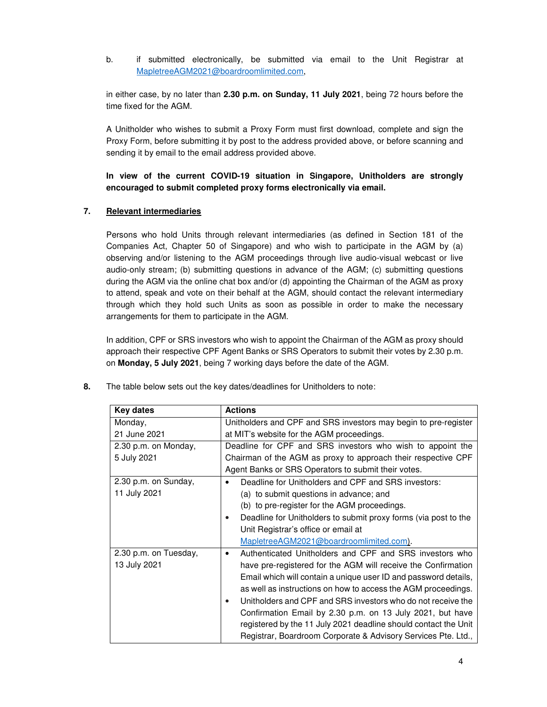b. if submitted electronically, be submitted via email to the Unit Registrar at MapletreeAGM2021@boardroomlimited.com,

in either case, by no later than **2.30 p.m. on Sunday, 11 July 2021**, being 72 hours before the time fixed for the AGM.

A Unitholder who wishes to submit a Proxy Form must first download, complete and sign the Proxy Form, before submitting it by post to the address provided above, or before scanning and sending it by email to the email address provided above.

**In view of the current COVID-19 situation in Singapore, Unitholders are strongly encouraged to submit completed proxy forms electronically via email.** 

# **7. Relevant intermediaries**

Persons who hold Units through relevant intermediaries (as defined in Section 181 of the Companies Act, Chapter 50 of Singapore) and who wish to participate in the AGM by (a) observing and/or listening to the AGM proceedings through live audio-visual webcast or live audio-only stream; (b) submitting questions in advance of the AGM; (c) submitting questions during the AGM via the online chat box and/or (d) appointing the Chairman of the AGM as proxy to attend, speak and vote on their behalf at the AGM, should contact the relevant intermediary through which they hold such Units as soon as possible in order to make the necessary arrangements for them to participate in the AGM.

In addition, CPF or SRS investors who wish to appoint the Chairman of the AGM as proxy should approach their respective CPF Agent Banks or SRS Operators to submit their votes by 2.30 p.m. on **Monday, 5 July 2021**, being 7 working days before the date of the AGM.

| <b>Key dates</b>      | <b>Actions</b>                                                               |
|-----------------------|------------------------------------------------------------------------------|
| Monday,               | Unitholders and CPF and SRS investors may begin to pre-register              |
| 21 June 2021          | at MIT's website for the AGM proceedings.                                    |
| 2.30 p.m. on Monday,  | Deadline for CPF and SRS investors who wish to appoint the                   |
| 5 July 2021           | Chairman of the AGM as proxy to approach their respective CPF                |
|                       | Agent Banks or SRS Operators to submit their votes.                          |
| 2.30 p.m. on Sunday,  | Deadline for Unitholders and CPF and SRS investors:<br>$\bullet$             |
| 11 July 2021          | (a) to submit questions in advance; and                                      |
|                       | (b) to pre-register for the AGM proceedings.                                 |
|                       | Deadline for Unitholders to submit proxy forms (via post to the<br>$\bullet$ |
|                       | Unit Registrar's office or email at                                          |
|                       | MapletreeAGM2021@boardroomlimited.com).                                      |
| 2.30 p.m. on Tuesday, | Authenticated Unitholders and CPF and SRS investors who<br>$\bullet$         |
| 13 July 2021          | have pre-registered for the AGM will receive the Confirmation                |
|                       | Email which will contain a unique user ID and password details,              |
|                       | as well as instructions on how to access the AGM proceedings.                |
|                       | Unitholders and CPF and SRS investors who do not receive the<br>$\bullet$    |
|                       | Confirmation Email by 2.30 p.m. on 13 July 2021, but have                    |
|                       | registered by the 11 July 2021 deadline should contact the Unit              |
|                       | Registrar, Boardroom Corporate & Advisory Services Pte. Ltd.,                |

**8.** The table below sets out the key dates/deadlines for Unitholders to note: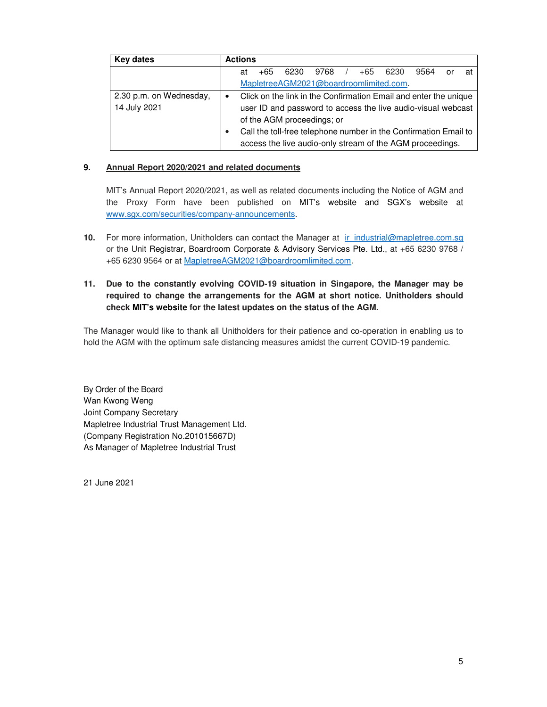| Key dates               | <b>Actions</b>                                                                                                                |
|-------------------------|-------------------------------------------------------------------------------------------------------------------------------|
|                         | 6230<br>+65<br>9564<br>9768<br>6230<br>$+65$<br>at<br>at<br>or                                                                |
|                         | MapletreeAGM2021@boardroomlimited.com.                                                                                        |
| 2.30 p.m. on Wednesday, | Click on the link in the Confirmation Email and enter the unique                                                              |
| 14 July 2021            | user ID and password to access the live audio-visual webcast                                                                  |
|                         | of the AGM proceedings; or                                                                                                    |
|                         | Call the toll-free telephone number in the Confirmation Email to<br>access the live audio-only stream of the AGM proceedings. |

# **9. Annual Report 2020/2021 and related documents**

 MIT's Annual Report 2020/2021, as well as related documents including the Notice of AGM and the Proxy Form have been published on MIT's website and SGX's website at www.sgx.com/securities/company-announcements.

**10.** For more information, Unitholders can contact the Manager at ir\_industrial@mapletree.com.sg or the Unit Registrar, Boardroom Corporate & Advisory Services Pte. Ltd., at +65 6230 9768 / +65 6230 9564 or at MapletreeAGM2021@boardroomlimited.com.

# **11. Due to the constantly evolving COVID-19 situation in Singapore, the Manager may be required to change the arrangements for the AGM at short notice. Unitholders should check MIT's website for the latest updates on the status of the AGM.**

The Manager would like to thank all Unitholders for their patience and co-operation in enabling us to hold the AGM with the optimum safe distancing measures amidst the current COVID-19 pandemic.

By Order of the Board Wan Kwong Weng Joint Company Secretary Mapletree Industrial Trust Management Ltd. (Company Registration No.201015667D) As Manager of Mapletree Industrial Trust

21 June 2021